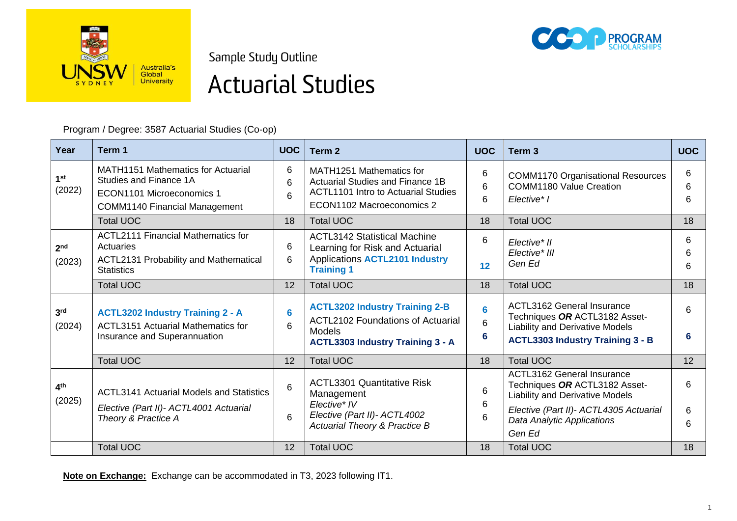

Sample Study Outline



# **Actuarial Studies**

Program / Degree: 3587 Actuarial Studies (Co-op)

| Year                      | Term 1                                                                                                                                   | <b>UOC</b>  | Term <sub>2</sub>                                                                                                                             | <b>UOC</b>  | Term <sub>3</sub>                                                                                                                                | <b>UOC</b>  |
|---------------------------|------------------------------------------------------------------------------------------------------------------------------------------|-------------|-----------------------------------------------------------------------------------------------------------------------------------------------|-------------|--------------------------------------------------------------------------------------------------------------------------------------------------|-------------|
| 1 <sup>st</sup><br>(2022) | <b>MATH1151 Mathematics for Actuarial</b><br>Studies and Finance 1A<br>ECON1101 Microeconomics 1<br><b>COMM1140 Financial Management</b> | 6<br>6<br>6 | MATH1251 Mathematics for<br>Actuarial Studies and Finance 1B<br><b>ACTL1101 Intro to Actuarial Studies</b><br>ECON1102 Macroeconomics 2       | 6<br>6<br>6 | <b>COMM1170 Organisational Resources</b><br><b>COMM1180 Value Creation</b><br>Elective* I                                                        | 6<br>6<br>6 |
|                           | <b>Total UOC</b>                                                                                                                         | 18          | <b>Total UOC</b>                                                                                                                              | 18          | <b>Total UOC</b>                                                                                                                                 | 18          |
| 2 <sub>nd</sub><br>(2023) | <b>ACTL2111 Financial Mathematics for</b><br>Actuaries<br>ACTL2131 Probability and Mathematical<br><b>Statistics</b>                     | 6<br>6      | <b>ACTL3142 Statistical Machine</b><br>Learning for Risk and Actuarial<br><b>Applications ACTL2101 Industry</b><br><b>Training 1</b>          | 6<br>12     | Elective* II<br>Elective* III<br>Gen Ed                                                                                                          | 6<br>6<br>6 |
|                           | <b>Total UOC</b>                                                                                                                         | 12          | <b>Total UOC</b>                                                                                                                              | 18          | <b>Total UOC</b>                                                                                                                                 | 18          |
| 3 <sup>rd</sup><br>(2024) | <b>ACTL3202 Industry Training 2 - A</b><br><b>ACTL3151 Actuarial Mathematics for</b><br>Insurance and Superannuation                     | 6<br>6      | <b>ACTL3202 Industry Training 2-B</b><br><b>ACTL2102 Foundations of Actuarial</b><br><b>Models</b><br><b>ACTL3303 Industry Training 3 - A</b> | 6<br>6<br>6 | <b>ACTL3162 General Insurance</b><br>Techniques OR ACTL3182 Asset-<br>Liability and Derivative Models<br><b>ACTL3303 Industry Training 3 - B</b> | 6<br>6      |
|                           | <b>Total UOC</b>                                                                                                                         | 12          | <b>Total UOC</b>                                                                                                                              | 18          | <b>Total UOC</b>                                                                                                                                 | 12          |
| 4 <sup>th</sup><br>(2025) | <b>ACTL3141 Actuarial Models and Statistics</b>                                                                                          | 6           | <b>ACTL3301 Quantitative Risk</b><br>Management<br>Elective* IV<br>Elective (Part II)- ACTL4002<br><b>Actuarial Theory &amp; Practice B</b>   | 6<br>6<br>6 | <b>ACTL3162 General Insurance</b><br>Techniques OR ACTL3182 Asset-<br><b>Liability and Derivative Models</b>                                     | 6           |
|                           | Elective (Part II)- ACTL4001 Actuarial<br>Theory & Practice A                                                                            | 6           |                                                                                                                                               |             | Elective (Part II)- ACTL4305 Actuarial<br>Data Analytic Applications<br>Gen Ed                                                                   | 6<br>6      |
|                           | <b>Total UOC</b>                                                                                                                         | 12          | <b>Total UOC</b>                                                                                                                              | 18          | <b>Total UOC</b>                                                                                                                                 | 18          |

**Note on Exchange:** Exchange can be accommodated in T3, 2023 following IT1.